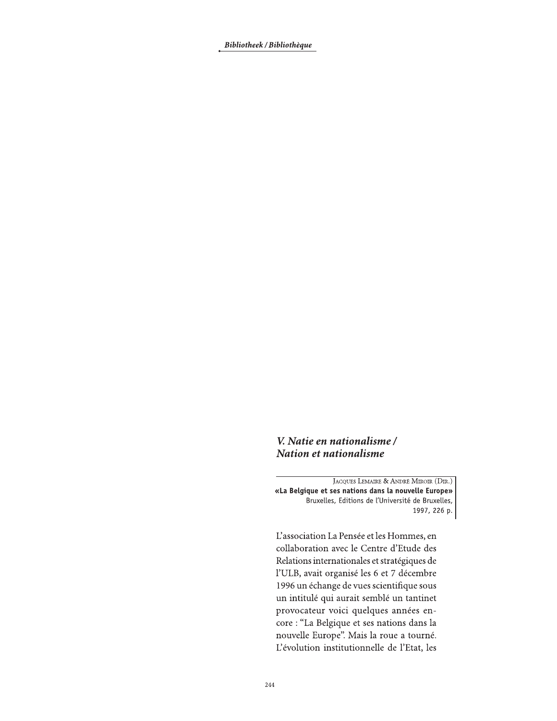Bibliotheek / Bibliothèque

## V. Natie en nationalisme / Nation et nationalisme

JACQUES LEMAIRE & ANDRÉ MIROIR (DIR.) «La Belgique et ses nations dans la nouvelle Europe» Bruxelles, Editions de l'Université de Bruxelles, 1997, 226 p.

L'association La Pensée et les Hommes, en collaboration avec le Centre d'Etude des Relations internationales et stratégiques de l'ULB, avait organisé les 6 et 7 décembre 1996 un échange de vues scientifique sous un intitulé qui aurait semblé un tantinet provocateur voici quelques années encore : "La Belgique et ses nations dans la nouvelle Europe". Mais la roue a tourné. L'évolution institutionnelle de l'Etat, les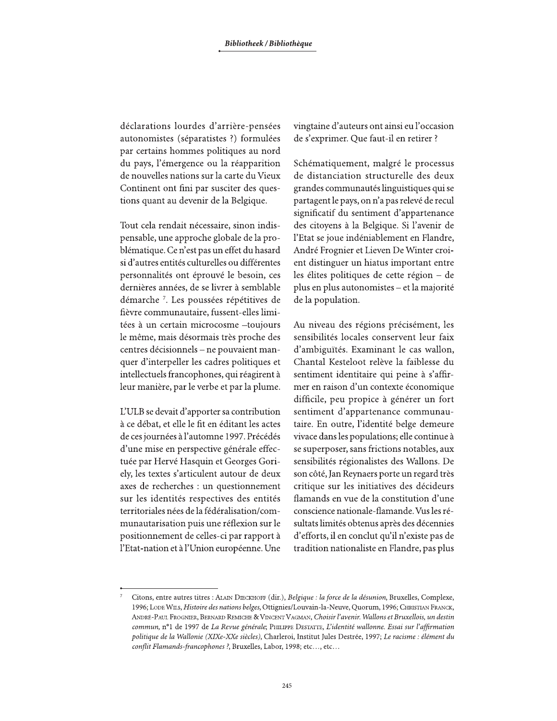déclarations lourdes d'arrière-pensées autonomistes (séparatistes ?) formulées par certains hommes politiques au nord du pays, l'émergence ou la réapparition de nouvelles nations sur la carte du Vieux Continent ont fini par susciter des questions quant au devenir de la Belgique.

Tout cela rendait nécessaire, sinon indispensable, une approche globale de la problématique. Ce n'est pas un effet du hasard si d'autres entités culturelles ou différentes personnalités ont éprouvé le besoin, ces dernières années, de se livrer à semblable démarche<sup>7</sup>. Les poussées répétitives de fièvre communautaire, fussent-elles limitées à un certain microcosme -toujours le même, mais désormais très proche des centres décisionnels – ne pouvaient manquer d'interpeller les cadres politiques et intellectuels francophones, qui réagirent à leur manière, par le verbe et par la plume.

L'ULB se devait d'apporter sa contribution à ce débat, et elle le fit en éditant les actes de ces journées à l'automne 1997. Précédés d'une mise en perspective générale effectuée par Hervé Hasquin et Georges Goriely, les textes s'articulent autour de deux axes de recherches : un questionnement sur les identités respectives des entités territoriales nées de la fédéralisation/communautarisation puis une réflexion sur le positionnement de celles-ci par rapport à l'Etat-nation et à l'Union européenne. Une vingtaine d'auteurs ont ainsi eu l'occasion de s'exprimer. Que faut-il en retirer ?

Schématiquement, malgré le processus de distanciation structurelle des deux grandes communautés linguistiques qui se partagent le pays, on n'a pas relevé de recul significatif du sentiment d'appartenance des citoyens à la Belgique. Si l'avenir de l'Etat se joue indéniablement en Flandre, André Frognier et Lieven De Winter croient distinguer un hiatus important entre les élites politiques de cette région - de plus en plus autonomistes - et la majorité de la population.

Au niveau des régions précisément, les sensibilités locales conservent leur faix d'ambiguïtés. Examinant le cas wallon, Chantal Kesteloot relève la faiblesse du sentiment identitaire qui peine à s'affirmer en raison d'un contexte économique difficile, peu propice à générer un fort sentiment d'appartenance communautaire. En outre, l'identité belge demeure vivace dans les populations; elle continue à se superposer, sans frictions notables, aux sensibilités régionalistes des Wallons. De son côté, Jan Reynaers porte un regard très critique sur les initiatives des décideurs flamands en vue de la constitution d'une conscience nationale-flamande. Vus les résultats limités obtenus après des décennies d'efforts, il en conclut qu'il n'existe pas de tradition nationaliste en Flandre, pas plus

Citons, entre autres titres : ALAIN DIECKHOFF (dir.), Belgique : la force de la désunion, Bruxelles, Complexe, 1996; LODE WILS, Histoire des nations belges, Ottignies/Louvain-la-Neuve, Quorum, 1996; CHRISTIAN FRANCK, ANDRÉ-PAUL FROGNIER, BERNARD REMICHE & VINCENT VAGMAN, Choisir l'avenir. Wallons et Bruxellois, un destin commun, nº1 de 1997 de La Revue générale; PHILIPPE DESTATTE, L'identité wallonne. Essai sur l'affirmation politique de la Wallonie (XIXe-XXe siècles), Charleroi, Institut Jules Destrée, 1997; Le racisme : élément du conflit Flamands-francophones ?, Bruxelles, Labor, 1998; etc..., etc...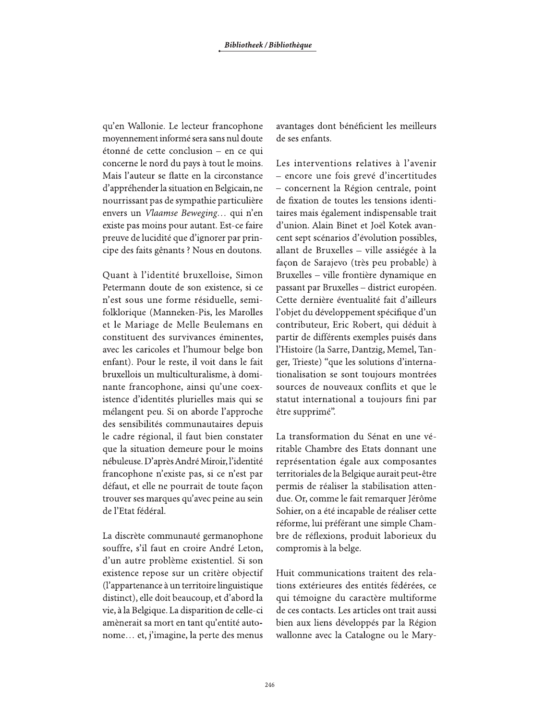qu'en Wallonie. Le lecteur francophone moyennement informé sera sans nul doute étonné de cette conclusion - en ce qui concerne le nord du pays à tout le moins. Mais l'auteur se flatte en la circonstance d'appréhender la situation en Belgicain, ne nourrissant pas de sympathie particulière envers un Vlaamse Beweging... qui n'en existe pas moins pour autant. Est-ce faire preuve de lucidité que d'ignorer par principe des faits gênants ? Nous en doutons.

Quant à l'identité bruxelloise, Simon Petermann doute de son existence, si ce n'est sous une forme résiduelle, semifolklorique (Manneken-Pis, les Marolles et le Mariage de Melle Beulemans en constituent des survivances éminentes, avec les caricoles et l'humour belge bon enfant). Pour le reste, il voit dans le fait bruxellois un multiculturalisme, à dominante francophone, ainsi qu'une coexistence d'identités plurielles mais qui se mélangent peu. Si on aborde l'approche des sensibilités communautaires depuis le cadre régional, il faut bien constater que la situation demeure pour le moins nébuleuse. D'après André Miroir, l'identité francophone n'existe pas, si ce n'est par défaut, et elle ne pourrait de toute façon trouver ses marques qu'avec peine au sein de l'Etat fédéral.

La discrète communauté germanophone souffre, s'il faut en croire André Leton, d'un autre problème existentiel. Si son existence repose sur un critère objectif (l'appartenance à un territoire linguistique distinct), elle doit beaucoup, et d'abord la vie, à la Belgique. La disparition de celle-ci amènerait sa mort en tant qu'entité autonome... et, j'imagine, la perte des menus

avantages dont bénéficient les meilleurs de ses enfants.

Les interventions relatives à l'avenir - encore une fois grevé d'incertitudes - concernent la Région centrale, point de fixation de toutes les tensions identitaires mais également indispensable trait d'union. Alain Binet et Joël Kotek avancent sept scénarios d'évolution possibles, allant de Bruxelles - ville assiégée à la façon de Sarajevo (très peu probable) à Bruxelles - ville frontière dynamique en passant par Bruxelles - district européen. Cette dernière éventualité fait d'ailleurs l'objet du développement spécifique d'un contributeur, Eric Robert, qui déduit à partir de différents exemples puisés dans l'Histoire (la Sarre, Dantzig, Memel, Tanger, Trieste) "que les solutions d'internationalisation se sont toujours montrées sources de nouveaux conflits et que le statut international a toujours fini par être supprimé".

La transformation du Sénat en une véritable Chambre des Etats donnant une représentation égale aux composantes territoriales de la Belgique aurait peut-être permis de réaliser la stabilisation attendue. Or, comme le fait remarquer Jérôme Sohier, on a été incapable de réaliser cette réforme, lui préférant une simple Chambre de réflexions, produit laborieux du compromis à la belge.

Huit communications traitent des relations extérieures des entités fédérées, ce qui témoigne du caractère multiforme de ces contacts. Les articles ont trait aussi bien aux liens développés par la Région wallonne avec la Catalogne ou le Mary